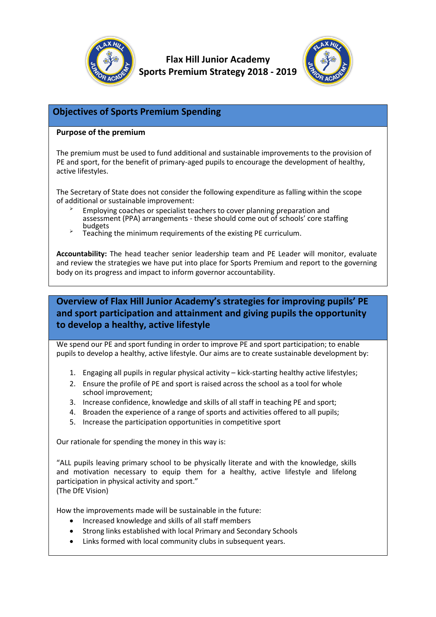

**Flax Hill Junior Academy Sports Premium Strategy 2018 - 2019**



#### **Objectives of Sports Premium Spending**

#### **Purpose of the premium**

The premium must be used to fund additional and sustainable improvements to the provision of PE and sport, for the benefit of primary-aged pupils to encourage the development of healthy, active lifestyles.

The Secretary of State does not consider the following expenditure as falling within the scope of additional or sustainable improvement:

- Employing coaches or specialist teachers to cover planning preparation and assessment (PPA) arrangements - these should come out of schools' core staffing budgets
- Teaching the minimum requirements of the existing PE curriculum.

**Accountability:** The head teacher senior leadership team and PE Leader will monitor, evaluate and review the strategies we have put into place for Sports Premium and report to the governing body on its progress and impact to inform governor accountability.

#### **Overview of Flax Hill Junior Academy's strategies for improving pupils' PE and sport participation and attainment and giving pupils the opportunity to develop a healthy, active lifestyle**

We spend our PE and sport funding in order to improve PE and sport participation; to enable pupils to develop a healthy, active lifestyle. Our aims are to create sustainable development by:

- 1. Engaging all pupils in regular physical activity kick-starting healthy active lifestyles;
- 2. Ensure the profile of PE and sport is raised across the school as a tool for whole school improvement;
- 3. Increase confidence, knowledge and skills of all staff in teaching PE and sport;
- 4. Broaden the experience of a range of sports and activities offered to all pupils;
- 5. Increase the participation opportunities in competitive sport

Our rationale for spending the money in this way is:

"ALL pupils leaving primary school to be physically literate and with the knowledge, skills and motivation necessary to equip them for a healthy, active lifestyle and lifelong participation in physical activity and sport." (The DfE Vision)

How the improvements made will be sustainable in the future:

- Increased knowledge and skills of all staff members
- Strong links established with local Primary and Secondary Schools
- Links formed with local community clubs in subsequent years.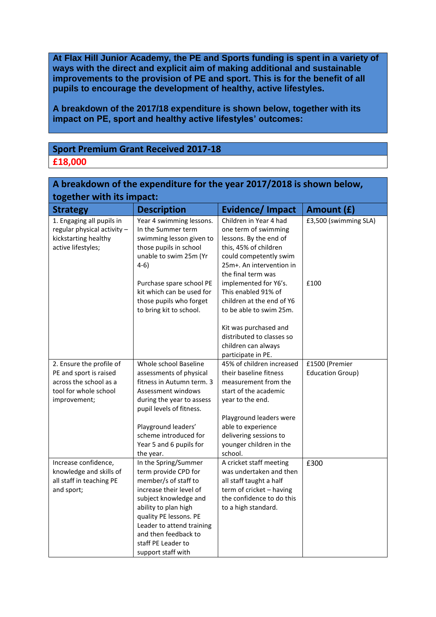**At Flax Hill Junior Academy, the PE and Sports funding is spent in a variety of ways with the direct and explicit aim of making additional and sustainable improvements to the provision of PE and sport. This is for the benefit of all pupils to encourage the development of healthy, active lifestyles.**

**A breakdown of the 2017/18 expenditure is shown below, together with its impact on PE, sport and healthy active lifestyles' outcomes:**

#### **Sport Premium Grant Received 2017-18 £18,000**

| A breakdown of the expenditure for the year 2017/2018 is shown below,                                                                         |                                                                                                                                                                                                                                                                              |                                                                                                                                                                                                                                                                      |                                                   |  |  |  |  |
|-----------------------------------------------------------------------------------------------------------------------------------------------|------------------------------------------------------------------------------------------------------------------------------------------------------------------------------------------------------------------------------------------------------------------------------|----------------------------------------------------------------------------------------------------------------------------------------------------------------------------------------------------------------------------------------------------------------------|---------------------------------------------------|--|--|--|--|
| together with its impact:                                                                                                                     |                                                                                                                                                                                                                                                                              |                                                                                                                                                                                                                                                                      |                                                   |  |  |  |  |
| <b>Strategy</b>                                                                                                                               | <b>Description</b>                                                                                                                                                                                                                                                           | Evidence/Impact                                                                                                                                                                                                                                                      | Amount (£)                                        |  |  |  |  |
| 1. Engaging all pupils in<br>regular physical activity -<br>kickstarting healthy<br>active lifestyles;                                        | Year 4 swimming lessons.<br>In the Summer term<br>swimming lesson given to<br>those pupils in school<br>unable to swim 25m (Yr<br>$4-6)$<br>Purchase spare school PE<br>kit which can be used for                                                                            | Children in Year 4 had<br>one term of swimming<br>lessons. By the end of<br>this, 45% of children<br>could competently swim<br>25m+. An intervention in<br>the final term was<br>implemented for Y6's.<br>This enabled 91% of                                        | £3,500 (swimming SLA)<br>£100                     |  |  |  |  |
|                                                                                                                                               | those pupils who forget<br>to bring kit to school.                                                                                                                                                                                                                           | children at the end of Y6<br>to be able to swim 25m.<br>Kit was purchased and<br>distributed to classes so<br>children can always<br>participate in PE.                                                                                                              |                                                   |  |  |  |  |
| 2. Ensure the profile of<br>PE and sport is raised<br>across the school as a<br>tool for whole school<br>improvement;<br>Increase confidence, | Whole school Baseline<br>assessments of physical<br>fitness in Autumn term. 3<br>Assessment windows<br>during the year to assess<br>pupil levels of fitness.<br>Playground leaders'<br>scheme introduced for<br>Year 5 and 6 pupils for<br>the year.<br>In the Spring/Summer | 45% of children increased<br>their baseline fitness<br>measurement from the<br>start of the academic<br>year to the end.<br>Playground leaders were<br>able to experience<br>delivering sessions to<br>younger children in the<br>school.<br>A cricket staff meeting | £1500 (Premier<br><b>Education Group)</b><br>£300 |  |  |  |  |
| knowledge and skills of<br>all staff in teaching PE<br>and sport;                                                                             | term provide CPD for<br>member/s of staff to<br>increase their level of<br>subject knowledge and<br>ability to plan high<br>quality PE lessons. PE<br>Leader to attend training<br>and then feedback to<br>staff PE Leader to<br>support staff with                          | was undertaken and then<br>all staff taught a half<br>term of cricket - having<br>the confidence to do this<br>to a high standard.                                                                                                                                   |                                                   |  |  |  |  |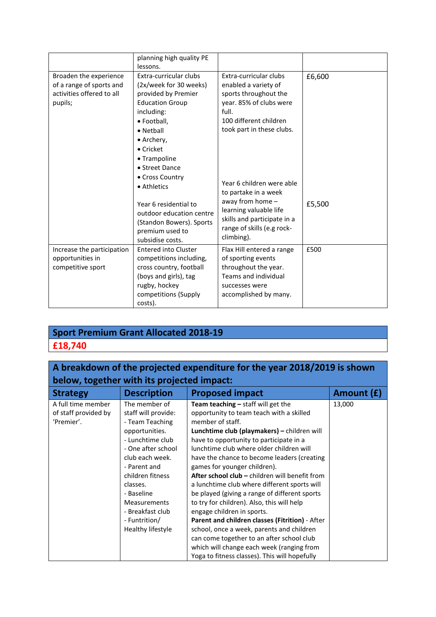|                                                                                            | planning high quality PE<br>lessons.                                                                                                                                                                                                                                                                                                           |                                                                                                                                                                                                                                                                                                                                                  |                  |
|--------------------------------------------------------------------------------------------|------------------------------------------------------------------------------------------------------------------------------------------------------------------------------------------------------------------------------------------------------------------------------------------------------------------------------------------------|--------------------------------------------------------------------------------------------------------------------------------------------------------------------------------------------------------------------------------------------------------------------------------------------------------------------------------------------------|------------------|
| Broaden the experience<br>of a range of sports and<br>activities offered to all<br>pupils; | Extra-curricular clubs<br>(2x/week for 30 weeks)<br>provided by Premier<br><b>Education Group</b><br>including:<br>· Football,<br>• Netball<br>• Archery,<br>• Cricket<br>• Trampoline<br>• Street Dance<br>• Cross Country<br>• Athletics<br>Year 6 residential to<br>outdoor education centre<br>(Standon Bowers). Sports<br>premium used to | Extra-curricular clubs<br>enabled a variety of<br>sports throughout the<br>year. 85% of clubs were<br>full.<br>100 different children<br>took part in these clubs.<br>Year 6 children were able<br>to partake in a week<br>away from home -<br>learning valuable life<br>skills and participate in a<br>range of skills (e.g rock-<br>climbing). | £6,600<br>£5,500 |
| Increase the participation                                                                 | subsidise costs.<br><b>Entered into Cluster</b>                                                                                                                                                                                                                                                                                                | Flax Hill entered a range                                                                                                                                                                                                                                                                                                                        | £500             |
| opportunities in                                                                           | competitions including,                                                                                                                                                                                                                                                                                                                        | of sporting events                                                                                                                                                                                                                                                                                                                               |                  |
| competitive sport                                                                          | cross country, football<br>(boys and girls), tag                                                                                                                                                                                                                                                                                               | throughout the year.<br>Teams and individual                                                                                                                                                                                                                                                                                                     |                  |
|                                                                                            | rugby, hockey                                                                                                                                                                                                                                                                                                                                  | successes were                                                                                                                                                                                                                                                                                                                                   |                  |
|                                                                                            | competitions (Supply<br>costs).                                                                                                                                                                                                                                                                                                                | accomplished by many.                                                                                                                                                                                                                                                                                                                            |                  |

# **Sport Premium Grant Allocated 2018-19**

### **£18,740**

## **A breakdown of the projected expenditure for the year 2018/2019 is shown below, together with its projected impact:**

| <b>Strategy</b>      | <b>Description</b>  | <b>Proposed impact</b>                          | Amount (£) |
|----------------------|---------------------|-------------------------------------------------|------------|
| A full time member   | The member of       | Team teaching $-$ staff will get the            | 13,000     |
| of staff provided by | staff will provide: | opportunity to team teach with a skilled        |            |
| 'Premier'.           | - Team Teaching     | member of staff.                                |            |
|                      | opportunities.      | Lunchtime club (playmakers) - children will     |            |
|                      | - Lunchtime club    | have to opportunity to participate in a         |            |
|                      | - One after school  | lunchtime club where older children will        |            |
|                      | club each week.     | have the chance to become leaders (creating     |            |
|                      | - Parent and        | games for younger children).                    |            |
|                      | children fitness    | After school club - children will benefit from  |            |
|                      | classes.            | a lunchtime club where different sports will    |            |
|                      | - Baseline          | be played (giving a range of different sports   |            |
|                      | <b>Measurements</b> | to try for children). Also, this will help      |            |
|                      | - Breakfast club    | engage children in sports.                      |            |
|                      | - Funtrition/       | Parent and children classes (Fitrition) - After |            |
|                      | Healthy lifestyle   | school, once a week, parents and children       |            |
|                      |                     | can come together to an after school club       |            |
|                      |                     | which will change each week (ranging from       |            |
|                      |                     | Yoga to fitness classes). This will hopefully   |            |